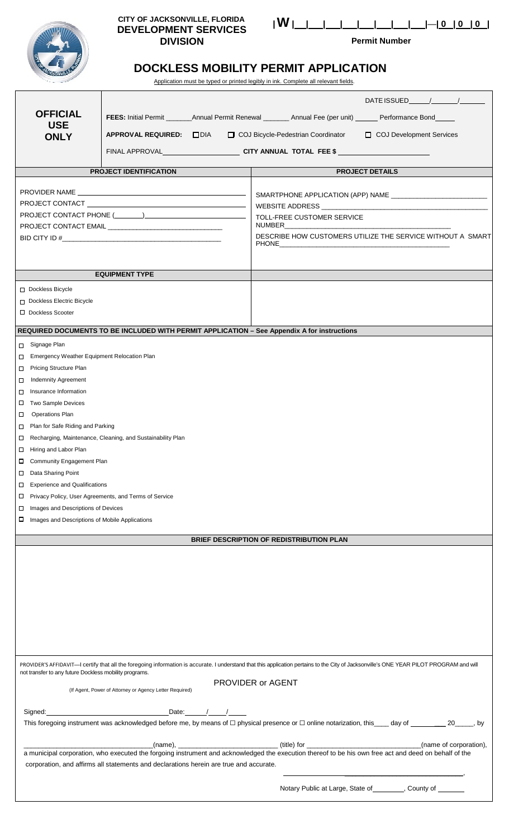| <b>ELEVER DE LA CALIFORNIA</b> |  |
|--------------------------------|--|

#### **CITY OF JACKSONVILLE, FLORIDA DEVELOPMENT SERVICES DIVISION**

|--|--|

**Permit Number**

# **DOCKLESS MOBILITY PERMIT APPLICATION**

Application must be typed or printed legibly in ink. Complete all relevant fields.

| The same of the same                                    |                                                                                        | Application must be typed or printed legibly in ink. Complete all relevant fields.                                    |                                                                                                                                                                                          |
|---------------------------------------------------------|----------------------------------------------------------------------------------------|-----------------------------------------------------------------------------------------------------------------------|------------------------------------------------------------------------------------------------------------------------------------------------------------------------------------------|
|                                                         |                                                                                        |                                                                                                                       | DATE ISSUED / /                                                                                                                                                                          |
|                                                         |                                                                                        |                                                                                                                       |                                                                                                                                                                                          |
| <b>OFFICIAL</b>                                         |                                                                                        | FEES: Initial Permit __________Annual Permit Renewal ___________ Annual Fee (per unit) _______ Performance Bond______ |                                                                                                                                                                                          |
| <b>USE</b><br><b>ONLY</b>                               | APPROVAL REQUIRED: DIA                                                                 | □ COJ Bicycle-Pedestrian Coordinator                                                                                  | COJ Development Services                                                                                                                                                                 |
|                                                         |                                                                                        | FINAL APPROVAL___________________________CITY ANNUAL TOTAL FEE \$ ________________                                    |                                                                                                                                                                                          |
|                                                         |                                                                                        |                                                                                                                       |                                                                                                                                                                                          |
|                                                         | <b>PROJECT IDENTIFICATION</b>                                                          |                                                                                                                       | <b>PROJECT DETAILS</b>                                                                                                                                                                   |
|                                                         |                                                                                        |                                                                                                                       |                                                                                                                                                                                          |
|                                                         |                                                                                        |                                                                                                                       |                                                                                                                                                                                          |
|                                                         |                                                                                        |                                                                                                                       |                                                                                                                                                                                          |
|                                                         |                                                                                        | TOLL-FREE CUSTOMER SERVICE<br>NUMBER                                                                                  |                                                                                                                                                                                          |
|                                                         | BID CITY ID #                                                                          |                                                                                                                       | DESCRIBE HOW CUSTOMERS UTILIZE THE SERVICE WITHOUT A SMART                                                                                                                               |
|                                                         |                                                                                        | <b>PHONE</b>                                                                                                          |                                                                                                                                                                                          |
|                                                         |                                                                                        |                                                                                                                       |                                                                                                                                                                                          |
|                                                         | <b>EQUIPMENT TYPE</b>                                                                  |                                                                                                                       |                                                                                                                                                                                          |
|                                                         |                                                                                        |                                                                                                                       |                                                                                                                                                                                          |
| Dockless Bicycle                                        |                                                                                        |                                                                                                                       |                                                                                                                                                                                          |
| Dockless Electric Bicycle<br>□ Dockless Scooter         |                                                                                        |                                                                                                                       |                                                                                                                                                                                          |
|                                                         |                                                                                        |                                                                                                                       |                                                                                                                                                                                          |
|                                                         |                                                                                        | REQUIRED DOCUMENTS TO BE INCLUDED WITH PERMIT APPLICATION - See Appendix A for instructions                           |                                                                                                                                                                                          |
| Signage Plan                                            |                                                                                        |                                                                                                                       |                                                                                                                                                                                          |
| Emergency Weather Equipment Relocation Plan             |                                                                                        |                                                                                                                       |                                                                                                                                                                                          |
| Pricing Structure Plan                                  |                                                                                        |                                                                                                                       |                                                                                                                                                                                          |
| <b>Indemnity Agreement</b><br>$\Box$                    |                                                                                        |                                                                                                                       |                                                                                                                                                                                          |
| □ Insurance Information                                 |                                                                                        |                                                                                                                       |                                                                                                                                                                                          |
| □ Two Sample Devices                                    |                                                                                        |                                                                                                                       |                                                                                                                                                                                          |
| □ Operations Plan                                       |                                                                                        |                                                                                                                       |                                                                                                                                                                                          |
| □ Plan for Safe Riding and Parking                      |                                                                                        |                                                                                                                       |                                                                                                                                                                                          |
|                                                         | □ Recharging, Maintenance, Cleaning, and Sustainability Plan                           |                                                                                                                       |                                                                                                                                                                                          |
| $\Box$ Hiring and Labor Plan                            |                                                                                        |                                                                                                                       |                                                                                                                                                                                          |
| □ Community Engagement Plan                             |                                                                                        |                                                                                                                       |                                                                                                                                                                                          |
| □ Data Sharing Point                                    |                                                                                        |                                                                                                                       |                                                                                                                                                                                          |
| Experience and Qualifications                           |                                                                                        |                                                                                                                       |                                                                                                                                                                                          |
| □ Privacy Policy, User Agreements, and Terms of Service |                                                                                        |                                                                                                                       |                                                                                                                                                                                          |
| Images and Descriptions of Devices<br>□                 |                                                                                        |                                                                                                                       |                                                                                                                                                                                          |
| Images and Descriptions of Mobile Applications          |                                                                                        |                                                                                                                       |                                                                                                                                                                                          |
|                                                         |                                                                                        | BRIEF DESCRIPTION OF REDISTRIBUTION PLAN                                                                              |                                                                                                                                                                                          |
|                                                         |                                                                                        |                                                                                                                       |                                                                                                                                                                                          |
|                                                         |                                                                                        |                                                                                                                       |                                                                                                                                                                                          |
|                                                         |                                                                                        |                                                                                                                       |                                                                                                                                                                                          |
|                                                         |                                                                                        |                                                                                                                       |                                                                                                                                                                                          |
|                                                         |                                                                                        |                                                                                                                       |                                                                                                                                                                                          |
|                                                         |                                                                                        |                                                                                                                       |                                                                                                                                                                                          |
|                                                         |                                                                                        |                                                                                                                       |                                                                                                                                                                                          |
|                                                         |                                                                                        |                                                                                                                       |                                                                                                                                                                                          |
|                                                         |                                                                                        |                                                                                                                       |                                                                                                                                                                                          |
|                                                         |                                                                                        |                                                                                                                       |                                                                                                                                                                                          |
| not transfer to any future Dockless mobility programs.  |                                                                                        |                                                                                                                       | PROVIDER'S AFFIDAVIT-I certify that all the foregoing information is accurate. I understand that this application pertains to the City of Jacksonville's ONE YEAR PILOT PROGRAM and will |
|                                                         |                                                                                        | PROVIDER or AGENT                                                                                                     |                                                                                                                                                                                          |
|                                                         | (If Agent, Power of Attorney or Agency Letter Required)                                |                                                                                                                       |                                                                                                                                                                                          |
|                                                         |                                                                                        |                                                                                                                       |                                                                                                                                                                                          |
|                                                         |                                                                                        |                                                                                                                       |                                                                                                                                                                                          |
|                                                         |                                                                                        |                                                                                                                       |                                                                                                                                                                                          |
|                                                         |                                                                                        |                                                                                                                       |                                                                                                                                                                                          |
|                                                         |                                                                                        |                                                                                                                       |                                                                                                                                                                                          |
|                                                         | corporation, and affirms all statements and declarations herein are true and accurate. |                                                                                                                       |                                                                                                                                                                                          |
|                                                         |                                                                                        |                                                                                                                       |                                                                                                                                                                                          |
|                                                         |                                                                                        |                                                                                                                       | Notary Public at Large, State of _________, County of _______                                                                                                                            |
|                                                         |                                                                                        |                                                                                                                       |                                                                                                                                                                                          |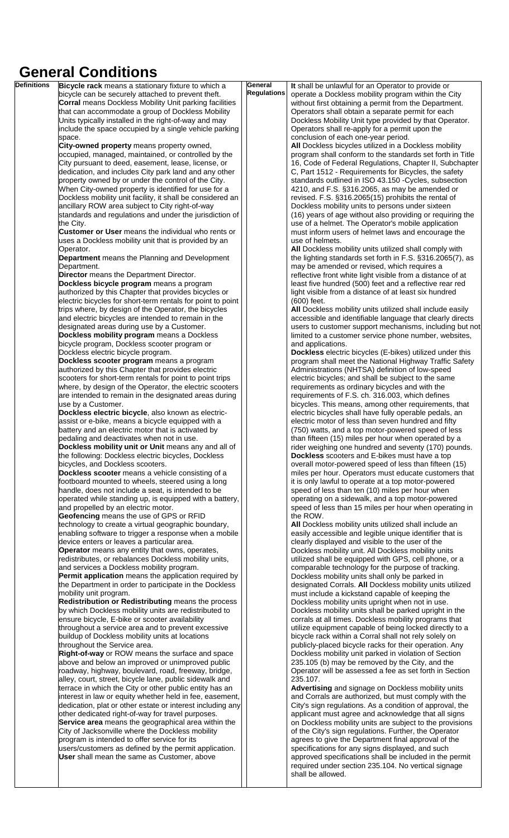# **General Conditions**<br>**Definitions Bicycle rack means a stational**

| <b>Definitions</b> | Bicycle rack means a stationary fixture to which a            | General            | It shall be unlawful for an Operator to provide or         |
|--------------------|---------------------------------------------------------------|--------------------|------------------------------------------------------------|
|                    | bicycle can be securely attached to prevent theft.            | <b>Regulations</b> | operate a Dockless mobility program within the City        |
|                    | <b>Corral means Dockless Mobility Unit parking facilities</b> |                    | without first obtaining a permit from the Department.      |
|                    | that can accommodate a group of Dockless Mobility             |                    | Operators shall obtain a separate permit for each          |
|                    |                                                               |                    |                                                            |
|                    | Units typically installed in the right-of-way and may         |                    | Dockless Mobility Unit type provided by that Operator.     |
|                    | include the space occupied by a single vehicle parking        |                    | Operators shall re-apply for a permit upon the             |
|                    | space.                                                        |                    | conclusion of each one-year period.                        |
|                    | City-owned property means property owned,                     |                    | All Dockless bicycles utilized in a Dockless mobility      |
|                    | occupied, managed, maintained, or controlled by the           |                    | program shall conform to the standards set forth in Title  |
|                    | City pursuant to deed, easement, lease, license, or           |                    | 16, Code of Federal Regulations, Chapter II, Subchapter    |
|                    | dedication, and includes City park land and any other         |                    | C, Part 1512 - Requirements for Bicycles, the safety       |
|                    | property owned by or under the control of the City.           |                    | standards outlined in ISO 43.150 -Cycles, subsection       |
|                    | When City-owned property is identified for use for a          |                    | 4210, and F.S. §316.2065, as may be amended or             |
|                    | Dockless mobility unit facility, it shall be considered an    |                    | revised. F.S. §316.2065(15) prohibits the rental of        |
|                    | ancillary ROW area subject to City right-of-way               |                    | Dockless mobility units to persons under sixteen           |
|                    | standards and regulations and under the jurisdiction of       |                    | (16) years of age without also providing or requiring the  |
|                    | the City.                                                     |                    | use of a helmet. The Operator's mobile application         |
|                    | Customer or User means the individual who rents or            |                    | must inform users of helmet laws and encourage the         |
|                    | uses a Dockless mobility unit that is provided by an          |                    | use of helmets.                                            |
|                    | Operator.                                                     |                    | All Dockless mobility units utilized shall comply with     |
|                    | Department means the Planning and Development                 |                    | the lighting standards set forth in F.S. §316.2065(7), as  |
|                    | Department.                                                   |                    | may be amended or revised, which requires a                |
|                    | Director means the Department Director.                       |                    | reflective front white light visible from a distance of at |
|                    | Dockless bicycle program means a program                      |                    | least five hundred (500) feet and a reflective rear red    |
|                    | authorized by this Chapter that provides bicycles or          |                    | light visible from a distance of at least six hundred      |
|                    | electric bicycles for short-term rentals for point to point   |                    | (600) feet.                                                |
|                    | trips where, by design of the Operator, the bicycles          |                    | All Dockless mobility units utilized shall include easily  |
|                    | and electric bicycles are intended to remain in the           |                    | accessible and identifiable language that clearly directs  |
|                    | designated areas during use by a Customer.                    |                    | users to customer support mechanisms, including but not    |
|                    |                                                               |                    |                                                            |
|                    | Dockless mobility program means a Dockless                    |                    | limited to a customer service phone number, websites,      |
|                    | bicycle program, Dockless scooter program or                  |                    | and applications.                                          |
|                    | Dockless electric bicycle program.                            |                    | Dockless electric bicycles (E-bikes) utilized under this   |
|                    | Dockless scooter program means a program                      |                    | program shall meet the National Highway Traffic Safety     |
|                    | authorized by this Chapter that provides electric             |                    | Administrations (NHTSA) definition of low-speed            |
|                    | scooters for short-term rentals for point to point trips      |                    | electric bicycles; and shall be subject to the same        |
|                    | where, by design of the Operator, the electric scooters       |                    | requirements as ordinary bicycles and with the             |
|                    | are intended to remain in the designated areas during         |                    | requirements of F.S. ch. 316.003, which defines            |
|                    | use by a Customer.                                            |                    | bicycles. This means, among other requirements, that       |
|                    | Dockless electric bicycle, also known as electric-            |                    | electric bicycles shall have fully operable pedals, an     |
|                    | assist or e-bike, means a bicycle equipped with a             |                    | electric motor of less than seven hundred and fifty        |
|                    | battery and an electric motor that is activated by            |                    | (750) watts, and a top motor-powered speed of less         |
|                    | pedaling and deactivates when not in use.                     |                    | than fifteen (15) miles per hour when operated by a        |
|                    | Dockless mobility unit or Unit means any and all of           |                    | rider weighing one hundred and seventy (170) pounds.       |
|                    | the following: Dockless electric bicycles, Dockless           |                    | Dockless scooters and E-bikes must have a top              |
|                    | bicycles, and Dockless scooters.                              |                    | overall motor-powered speed of less than fifteen (15)      |
|                    | Dockless scooter means a vehicle consisting of a              |                    | miles per hour. Operators must educate customers that      |
|                    | footboard mounted to wheels, steered using a long             |                    | it is only lawful to operate at a top motor-powered        |
|                    | handle, does not include a seat, is intended to be            |                    | speed of less than ten (10) miles per hour when            |
|                    | operated while standing up, is equipped with a battery,       |                    | operating on a sidewalk, and a top motor-powered           |
|                    | and propelled by an electric motor.                           |                    | speed of less than 15 miles per hour when operating in     |
|                    | Geofencing means the use of GPS or RFID                       |                    | the ROW.                                                   |
|                    | technology to create a virtual geographic boundary,           |                    | All Dockless mobility units utilized shall include an      |
|                    | enabling software to trigger a response when a mobile         |                    | easily accessible and legible unique identifier that is    |
|                    | device enters or leaves a particular area.                    |                    | clearly displayed and visible to the user of the           |
|                    | <b>Operator</b> means any entity that owns, operates,         |                    | Dockless mobility unit. All Dockless mobility units        |
|                    | redistributes, or rebalances Dockless mobility units,         |                    | utilized shall be equipped with GPS, cell phone, or a      |
|                    | and services a Dockless mobility program.                     |                    | comparable technology for the purpose of tracking.         |
|                    | Permit application means the application required by          |                    | Dockless mobility units shall only be parked in            |
|                    | the Department in order to participate in the Dockless        |                    | designated Corrals. All Dockless mobility units utilized   |
|                    | mobility unit program.                                        |                    | must include a kickstand capable of keeping the            |
|                    | Redistribution or Redistributing means the process            |                    | Dockless mobility units upright when not in use.           |
|                    | by which Dockless mobility units are redistributed to         |                    | Dockless mobility units shall be parked upright in the     |
|                    | ensure bicycle, E-bike or scooter availability                |                    | corrals at all times. Dockless mobility programs that      |
|                    | throughout a service area and to prevent excessive            |                    | utilize equipment capable of being locked directly to a    |
|                    | buildup of Dockless mobility units at locations               |                    | bicycle rack within a Corral shall not rely solely on      |
|                    | throughout the Service area.                                  |                    | publicly-placed bicycle racks for their operation. Any     |
|                    | Right-of-way or ROW means the surface and space               |                    | Dockless mobility unit parked in violation of Section      |
|                    | above and below an improved or unimproved public              |                    | 235.105 (b) may be removed by the City, and the            |
|                    | roadway, highway, boulevard, road, freeway, bridge,           |                    | Operator will be assessed a fee as set forth in Section    |
|                    | alley, court, street, bicycle lane, public sidewalk and       |                    | 235.107.                                                   |
|                    | terrace in which the City or other public entity has an       |                    | Advertising and signage on Dockless mobility units         |
|                    | interest in law or equity whether held in fee, easement,      |                    | and Corrals are authorized, but must comply with the       |
|                    | dedication, plat or other estate or interest including any    |                    | City's sign regulations. As a condition of approval, the   |
|                    | other dedicated right-of-way for travel purposes.             |                    | applicant must agree and acknowledge that all signs        |
|                    | Service area means the geographical area within the           |                    | on Dockless mobility units are subject to the provisions   |
|                    | City of Jacksonville where the Dockless mobility              |                    | of the City's sign regulations. Further, the Operator      |
|                    | program is intended to offer service for its                  |                    | agrees to give the Department final approval of the        |
|                    | users/customers as defined by the permit application.         |                    | specifications for any signs displayed, and such           |
|                    | <b>User</b> shall mean the same as Customer, above            |                    | approved specifications shall be included in the permit    |
|                    |                                                               |                    | required under section 235.104. No vertical signage        |
|                    |                                                               |                    | shall be allowed.                                          |
|                    |                                                               |                    |                                                            |
|                    |                                                               |                    |                                                            |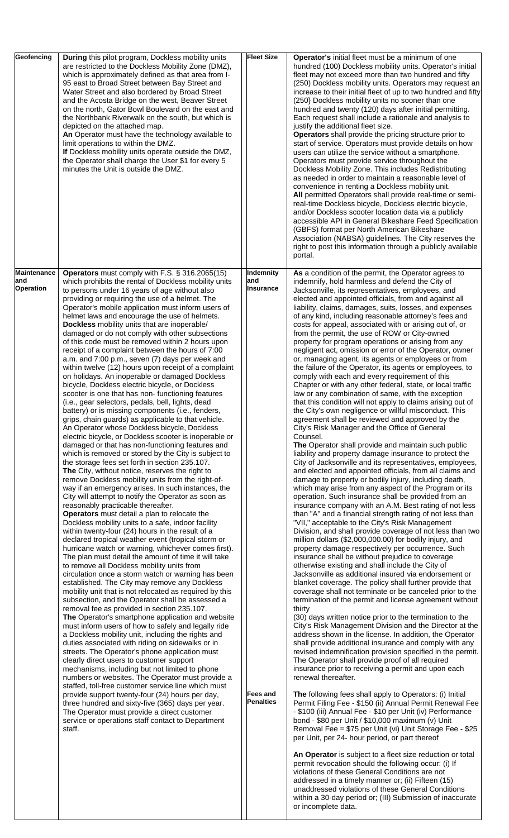| Geofencing                                    | During this pilot program, Dockless mobility units<br>are restricted to the Dockless Mobility Zone (DMZ),<br>which is approximately defined as that area from I-<br>95 east to Broad Street between Bay Street and<br>Water Street and also bordered by Broad Street<br>and the Acosta Bridge on the west, Beaver Street<br>on the north, Gator Bowl Boulevard on the east and<br>the Northbank Riverwalk on the south, but which is<br>depicted on the attached map.<br>An Operator must have the technology available to<br>limit operations to within the DMZ.<br>If Dockless mobility units operate outside the DMZ,<br>the Operator shall charge the User \$1 for every 5<br>minutes the Unit is outside the DMZ.                                                                                                                                                                                                                                                                                                                                                                                                                                                                                                                                                                                                                                                                                                                                                                                                                                                                                                                                                                                                                                                                                                                                                                                                                                                                                                                                                                                                                                                                                                                                                                                                                                                                                                                                                                                                                                                                                                                                                                                                                                                                                                                                                | <b>Fleet Size</b>                                      | Operator's initial fleet must be a minimum of one<br>hundred (100) Dockless mobility units. Operator's initial<br>fleet may not exceed more than two hundred and fifty<br>(250) Dockless mobility units. Operators may request an<br>increase to their initial fleet of up to two hundred and fifty<br>(250) Dockless mobility units no sooner than one<br>hundred and twenty (120) days after initial permitting.<br>Each request shall include a rationale and analysis to<br>justify the additional fleet size.<br>Operators shall provide the pricing structure prior to<br>start of service. Operators must provide details on how<br>users can utilize the service without a smartphone.<br>Operators must provide service throughout the<br>Dockless Mobility Zone. This includes Redistributing<br>as needed in order to maintain a reasonable level of<br>convenience in renting a Dockless mobility unit.<br>All permitted Operators shall provide real-time or semi-<br>real-time Dockless bicycle, Dockless electric bicycle,<br>and/or Dockless scooter location data via a publicly<br>accessible API in General Bikeshare Feed Specification<br>(GBFS) format per North American Bikeshare<br>Association (NABSA) guidelines. The City reserves the<br>right to post this information through a publicly available<br>portal.                                                                                                                                                                                                                                                                                                                                                                                                                                                                                                                                                                                                                                                                                                                                                                                                                                                                                                                                                                                                                                                                                                                                                                                                                                                                                                                                                                                                                                                                                                                                                                                                                                                                                                                                                                                                                                                                                                                                                                                                                                                                             |
|-----------------------------------------------|-----------------------------------------------------------------------------------------------------------------------------------------------------------------------------------------------------------------------------------------------------------------------------------------------------------------------------------------------------------------------------------------------------------------------------------------------------------------------------------------------------------------------------------------------------------------------------------------------------------------------------------------------------------------------------------------------------------------------------------------------------------------------------------------------------------------------------------------------------------------------------------------------------------------------------------------------------------------------------------------------------------------------------------------------------------------------------------------------------------------------------------------------------------------------------------------------------------------------------------------------------------------------------------------------------------------------------------------------------------------------------------------------------------------------------------------------------------------------------------------------------------------------------------------------------------------------------------------------------------------------------------------------------------------------------------------------------------------------------------------------------------------------------------------------------------------------------------------------------------------------------------------------------------------------------------------------------------------------------------------------------------------------------------------------------------------------------------------------------------------------------------------------------------------------------------------------------------------------------------------------------------------------------------------------------------------------------------------------------------------------------------------------------------------------------------------------------------------------------------------------------------------------------------------------------------------------------------------------------------------------------------------------------------------------------------------------------------------------------------------------------------------------------------------------------------------------------------------------------------------------|--------------------------------------------------------|--------------------------------------------------------------------------------------------------------------------------------------------------------------------------------------------------------------------------------------------------------------------------------------------------------------------------------------------------------------------------------------------------------------------------------------------------------------------------------------------------------------------------------------------------------------------------------------------------------------------------------------------------------------------------------------------------------------------------------------------------------------------------------------------------------------------------------------------------------------------------------------------------------------------------------------------------------------------------------------------------------------------------------------------------------------------------------------------------------------------------------------------------------------------------------------------------------------------------------------------------------------------------------------------------------------------------------------------------------------------------------------------------------------------------------------------------------------------------------------------------------------------------------------------------------------------------------------------------------------------------------------------------------------------------------------------------------------------------------------------------------------------------------------------------------------------------------------------------------------------------------------------------------------------------------------------------------------------------------------------------------------------------------------------------------------------------------------------------------------------------------------------------------------------------------------------------------------------------------------------------------------------------------------------------------------------------------------------------------------------------------------------------------------------------------------------------------------------------------------------------------------------------------------------------------------------------------------------------------------------------------------------------------------------------------------------------------------------------------------------------------------------------------------------------------------------------------------------------------------------------------------------------------------------------------------------------------------------------------------------------------------------------------------------------------------------------------------------------------------------------------------------------------------------------------------------------------------------------------------------------------------------------------------------------------------------------------------------------------------------------------------------------------------------------|
| <b>Maintenance</b><br>and<br><b>Operation</b> | Operators must comply with F.S. § 316.2065(15)<br>which prohibits the rental of Dockless mobility units<br>to persons under 16 years of age without also<br>providing or requiring the use of a helmet. The<br>Operator's mobile application must inform users of<br>helmet laws and encourage the use of helmets.<br>Dockless mobility units that are inoperable/<br>damaged or do not comply with other subsections<br>of this code must be removed within 2 hours upon<br>receipt of a complaint between the hours of 7:00<br>a.m. and 7:00 p.m., seven (7) days per week and<br>within twelve (12) hours upon receipt of a complaint<br>on holidays. An inoperable or damaged Dockless<br>bicycle, Dockless electric bicycle, or Dockless<br>scooter is one that has non-functioning features<br>(i.e., gear selectors, pedals, bell, lights, dead<br>battery) or is missing components (i.e., fenders,<br>grips, chain guards) as applicable to that vehicle.<br>An Operator whose Dockless bicycle, Dockless<br>electric bicycle, or Dockless scooter is inoperable or<br>damaged or that has non-functioning features and<br>which is removed or stored by the City is subject to<br>the storage fees set forth in section 235.107.<br><b>The City, without notice, reserves the right to</b><br>remove Dockless mobility units from the right-of-<br>way if an emergency arises. In such instances, the<br>City will attempt to notify the Operator as soon as<br>reasonably practicable thereafter.<br>Operators must detail a plan to relocate the<br>Dockless mobility units to a safe, indoor facility<br>within twenty-four (24) hours in the result of a<br>declared tropical weather event (tropical storm or<br>hurricane watch or warning, whichever comes first).<br>The plan must detail the amount of time it will take<br>to remove all Dockless mobility units from<br>circulation once a storm watch or warning has been<br>established. The City may remove any Dockless<br>mobility unit that is not relocated as required by this<br>subsection, and the Operator shall be assessed a<br>removal fee as provided in section 235.107.<br>The Operator's smartphone application and website<br>must inform users of how to safely and legally ride<br>a Dockless mobility unit, including the rights and<br>duties associated with riding on sidewalks or in<br>streets. The Operator's phone application must<br>clearly direct users to customer support<br>mechanisms, including but not limited to phone<br>numbers or websites. The Operator must provide a<br>staffed, toll-free customer service line which must<br>provide support twenty-four (24) hours per day,<br>three hundred and sixty-five (365) days per year.<br>The Operator must provide a direct customer<br>service or operations staff contact to Department<br>staff. | Indemnity<br>and<br>Insurance<br>Fees and<br>Penalties | As a condition of the permit, the Operator agrees to<br>indemnify, hold harmless and defend the City of<br>Jacksonville, its representatives, employees, and<br>elected and appointed officials, from and against all<br>liability, claims, damages, suits, losses, and expenses<br>of any kind, including reasonable attorney's fees and<br>costs for appeal, associated with or arising out of, or<br>from the permit, the use of ROW or City-owned<br>property for program operations or arising from any<br>negligent act, omission or error of the Operator, owner<br>or, managing agent, its agents or employees or from<br>the failure of the Operator, its agents or employees, to<br>comply with each and every requirement of this<br>Chapter or with any other federal, state, or local traffic<br>law or any combination of same, with the exception<br>that this condition will not apply to claims arising out of<br>the City's own negligence or willful misconduct. This<br>agreement shall be reviewed and approved by the<br>City's Risk Manager and the Office of General<br>Counsel.<br>The Operator shall provide and maintain such public<br>liability and property damage insurance to protect the<br>City of Jacksonville and its representatives, employees,<br>and elected and appointed officials, from all claims and<br>damage to property or bodily injury, including death,<br>which may arise from any aspect of the Program or its<br>operation. Such insurance shall be provided from an<br>insurance company with an A.M. Best rating of not less<br>than "A" and a financial strength rating of not less than<br>"VII," acceptable to the City's Risk Management<br>Division, and shall provide coverage of not less than two<br>million dollars (\$2,000,000.00) for bodily injury, and<br>property damage respectively per occurrence. Such<br>insurance shall be without prejudice to coverage<br>otherwise existing and shall include the City of<br>Jacksonville as additional insured via endorsement or<br>blanket coverage. The policy shall further provide that<br>coverage shall not terminate or be canceled prior to the<br>termination of the permit and license agreement without<br>thirty<br>(30) days written notice prior to the termination to the<br>City's Risk Management Division and the Director at the<br>address shown in the license. In addition, the Operator<br>shall provide additional insurance and comply with any<br>revised indemnification provision specified in the permit.<br>The Operator shall provide proof of all required<br>insurance prior to receiving a permit and upon each<br>renewal thereafter.<br>The following fees shall apply to Operators: (i) Initial<br>Permit Filing Fee - \$150 (ii) Annual Permit Renewal Fee<br>- \$100 (iii) Annual Fee - \$10 per Unit (iv) Performance<br>bond - \$80 per Unit / \$10,000 maximum (v) Unit<br>Removal Fee = \$75 per Unit (vi) Unit Storage Fee - \$25<br>per Unit, per 24- hour period, or part thereof<br>An Operator is subject to a fleet size reduction or total<br>permit revocation should the following occur: (i) If<br>violations of these General Conditions are not<br>addressed in a timely manner or; (ii) Fifteen (15)<br>unaddressed violations of these General Conditions<br>within a 30-day period or; (III) Submission of inaccurate<br>or incomplete data. |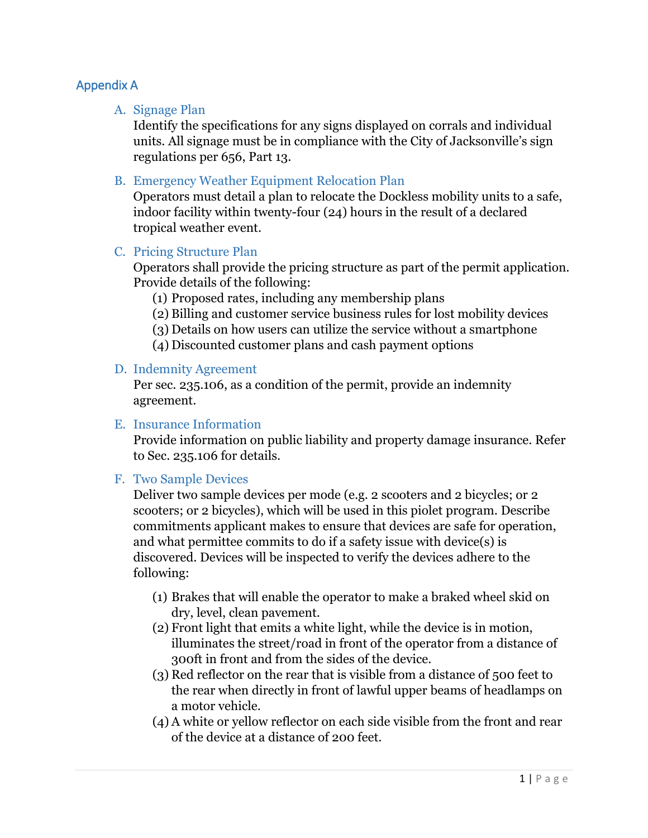# Appendix A

#### A. Signage Plan

Identify the specifications for any signs displayed on corrals and individual units. All signage must be in compliance with the City of Jacksonville's sign regulations per 656, Part 13.

#### B. Emergency Weather Equipment Relocation Plan

Operators must detail a plan to relocate the Dockless mobility units to a safe, indoor facility within twenty-four (24) hours in the result of a declared tropical weather event.

#### C. Pricing Structure Plan

Operators shall provide the pricing structure as part of the permit application. Provide details of the following:

(1) Proposed rates, including any membership plans

(2) Billing and customer service business rules for lost mobility devices

(3) Details on how users can utilize the service without a smartphone

(4) Discounted customer plans and cash payment options

#### D. Indemnity Agreement

Per sec. 235.106, as a condition of the permit, provide an indemnity agreement.

#### E. Insurance Information

Provide information on public liability and property damage insurance. Refer to Sec. 235.106 for details.

# F. Two Sample Devices

Deliver two sample devices per mode (e.g. 2 scooters and 2 bicycles; or 2 scooters; or 2 bicycles), which will be used in this piolet program. Describe commitments applicant makes to ensure that devices are safe for operation, and what permittee commits to do if a safety issue with device(s) is discovered. Devices will be inspected to verify the devices adhere to the following:

- (1) Brakes that will enable the operator to make a braked wheel skid on dry, level, clean pavement.
- (2) Front light that emits a white light, while the device is in motion, illuminates the street/road in front of the operator from a distance of 300ft in front and from the sides of the device.
- (3) Red reflector on the rear that is visible from a distance of 500 feet to the rear when directly in front of lawful upper beams of headlamps on a motor vehicle.
- (4) A white or yellow reflector on each side visible from the front and rear of the device at a distance of 200 feet.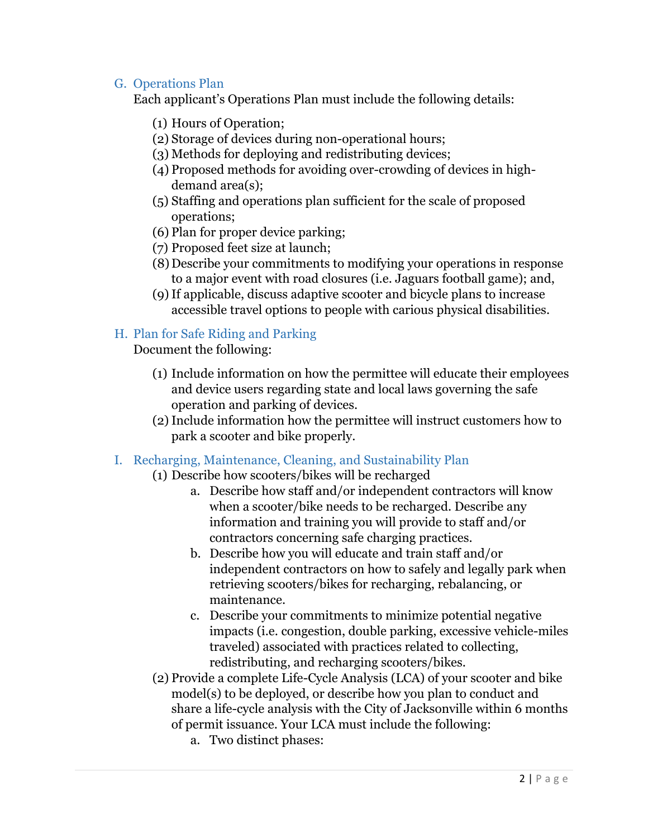# G. Operations Plan

Each applicant's Operations Plan must include the following details:

- (1) Hours of Operation;
- (2) Storage of devices during non-operational hours;
- (3) Methods for deploying and redistributing devices;
- (4) Proposed methods for avoiding over-crowding of devices in highdemand area(s);
- (5) Staffing and operations plan sufficient for the scale of proposed operations;
- (6) Plan for proper device parking;
- (7) Proposed feet size at launch;
- (8) Describe your commitments to modifying your operations in response to a major event with road closures (i.e. Jaguars football game); and,
- (9)If applicable, discuss adaptive scooter and bicycle plans to increase accessible travel options to people with carious physical disabilities.

# H. Plan for Safe Riding and Parking

Document the following:

- (1) Include information on how the permittee will educate their employees and device users regarding state and local laws governing the safe operation and parking of devices.
- (2)Include information how the permittee will instruct customers how to park a scooter and bike properly.
- I. Recharging, Maintenance, Cleaning, and Sustainability Plan
	- (1) Describe how scooters/bikes will be recharged
		- a. Describe how staff and/or independent contractors will know when a scooter/bike needs to be recharged. Describe any information and training you will provide to staff and/or contractors concerning safe charging practices.
		- b. Describe how you will educate and train staff and/or independent contractors on how to safely and legally park when retrieving scooters/bikes for recharging, rebalancing, or maintenance.
		- c. Describe your commitments to minimize potential negative impacts (i.e. congestion, double parking, excessive vehicle-miles traveled) associated with practices related to collecting, redistributing, and recharging scooters/bikes.
	- (2) Provide a complete Life-Cycle Analysis (LCA) of your scooter and bike model(s) to be deployed, or describe how you plan to conduct and share a life-cycle analysis with the City of Jacksonville within 6 months of permit issuance. Your LCA must include the following:
		- a. Two distinct phases: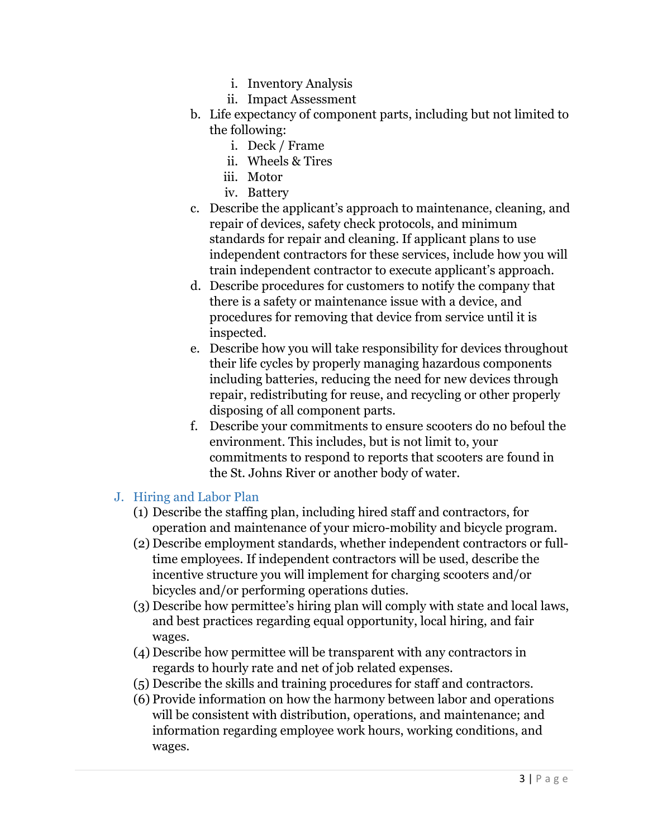- i. Inventory Analysis
- ii. Impact Assessment
- b. Life expectancy of component parts, including but not limited to the following:
	- i. Deck / Frame
	- ii. Wheels & Tires
	- iii. Motor
	- iv. Battery
- c. Describe the applicant's approach to maintenance, cleaning, and repair of devices, safety check protocols, and minimum standards for repair and cleaning. If applicant plans to use independent contractors for these services, include how you will train independent contractor to execute applicant's approach.
- d. Describe procedures for customers to notify the company that there is a safety or maintenance issue with a device, and procedures for removing that device from service until it is inspected.
- e. Describe how you will take responsibility for devices throughout their life cycles by properly managing hazardous components including batteries, reducing the need for new devices through repair, redistributing for reuse, and recycling or other properly disposing of all component parts.
- f. Describe your commitments to ensure scooters do no befoul the environment. This includes, but is not limit to, your commitments to respond to reports that scooters are found in the St. Johns River or another body of water.
- J. Hiring and Labor Plan
	- (1) Describe the staffing plan, including hired staff and contractors, for operation and maintenance of your micro-mobility and bicycle program.
	- (2) Describe employment standards, whether independent contractors or fulltime employees. If independent contractors will be used, describe the incentive structure you will implement for charging scooters and/or bicycles and/or performing operations duties.
	- (3) Describe how permittee's hiring plan will comply with state and local laws, and best practices regarding equal opportunity, local hiring, and fair wages.
	- (4) Describe how permittee will be transparent with any contractors in regards to hourly rate and net of job related expenses.
	- (5) Describe the skills and training procedures for staff and contractors.
	- (6) Provide information on how the harmony between labor and operations will be consistent with distribution, operations, and maintenance; and information regarding employee work hours, working conditions, and wages.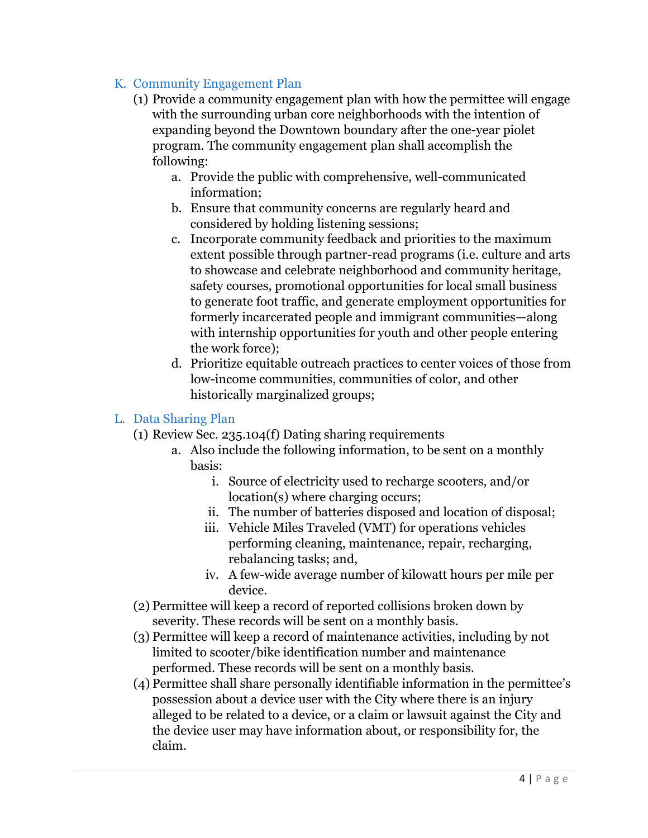# K. Community Engagement Plan

- (1) Provide a community engagement plan with how the permittee will engage with the surrounding urban core neighborhoods with the intention of expanding beyond the Downtown boundary after the one-year piolet program. The community engagement plan shall accomplish the following:
	- a. Provide the public with comprehensive, well-communicated information;
	- b. Ensure that community concerns are regularly heard and considered by holding listening sessions;
	- c. Incorporate community feedback and priorities to the maximum extent possible through partner-read programs (i.e. culture and arts to showcase and celebrate neighborhood and community heritage, safety courses, promotional opportunities for local small business to generate foot traffic, and generate employment opportunities for formerly incarcerated people and immigrant communities—along with internship opportunities for youth and other people entering the work force);
	- d. Prioritize equitable outreach practices to center voices of those from low-income communities, communities of color, and other historically marginalized groups;

# L. Data Sharing Plan

- (1) Review Sec. 235.104(f) Dating sharing requirements
	- a. Also include the following information, to be sent on a monthly basis:
		- i. Source of electricity used to recharge scooters, and/or location(s) where charging occurs;
		- ii. The number of batteries disposed and location of disposal;
		- iii. Vehicle Miles Traveled (VMT) for operations vehicles performing cleaning, maintenance, repair, recharging, rebalancing tasks; and,
		- iv. A few-wide average number of kilowatt hours per mile per device.
- (2) Permittee will keep a record of reported collisions broken down by severity. These records will be sent on a monthly basis.
- (3) Permittee will keep a record of maintenance activities, including by not limited to scooter/bike identification number and maintenance performed. These records will be sent on a monthly basis.
- (4) Permittee shall share personally identifiable information in the permittee's possession about a device user with the City where there is an injury alleged to be related to a device, or a claim or lawsuit against the City and the device user may have information about, or responsibility for, the claim.